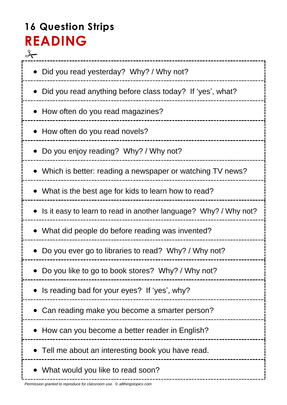# **16 Question Strips READING**

⊁ • Did you read yesterday? Why? / Why not? • Did you read anything before class today? If 'yes', what? • How often do you read magazines? • How often do you read novels? Do you enjoy reading? Why? / Why not? Which is better: reading a newspaper or watching TV news? • What is the best age for kids to learn how to read? • Is it easy to learn to read in another language? Why? / Why not? What did people do before reading was invented? • Do you ever go to libraries to read? Why? / Why not? • Do you like to go to book stores? Why? / Why not? • Is reading bad for your eyes? If 'yes', why? Can reading make you become a smarter person? • How can you become a better reader in English? Tell me about an interesting book you have read. What would you like to read soon?